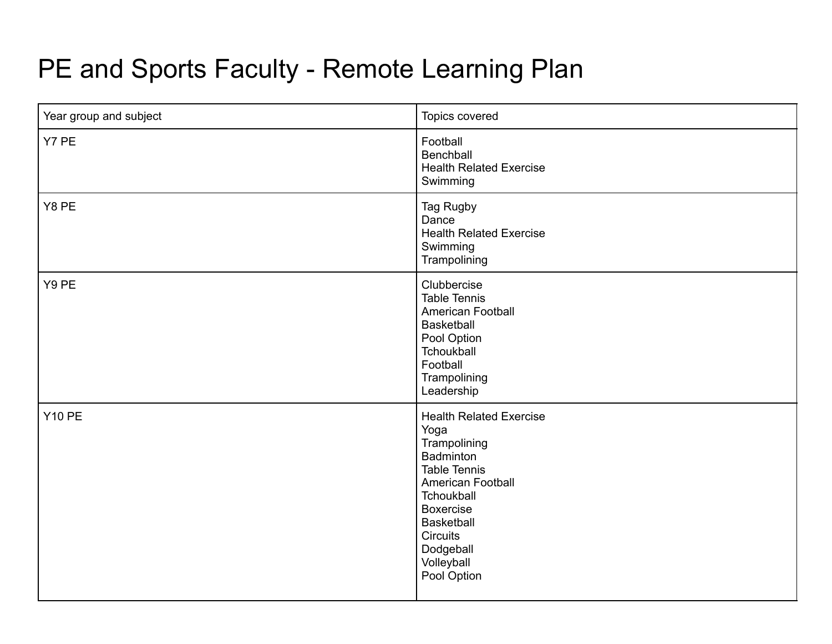## PE and Sports Faculty - Remote Learning Plan

| Year group and subject | Topics covered                                                                                                                                                                                                                      |
|------------------------|-------------------------------------------------------------------------------------------------------------------------------------------------------------------------------------------------------------------------------------|
| Y7 PE                  | Football<br>Benchball<br><b>Health Related Exercise</b><br>Swimming                                                                                                                                                                 |
| Y8 PE                  | Tag Rugby<br>Dance<br><b>Health Related Exercise</b><br>Swimming<br>Trampolining                                                                                                                                                    |
| Y9 PE                  | Clubbercise<br><b>Table Tennis</b><br><b>American Football</b><br><b>Basketball</b><br>Pool Option<br>Tchoukball<br>Football<br>Trampolining<br>Leadership                                                                          |
| <b>Y10 PE</b>          | <b>Health Related Exercise</b><br>Yoga<br>Trampolining<br>Badminton<br><b>Table Tennis</b><br>American Football<br>Tchoukball<br><b>Boxercise</b><br><b>Basketball</b><br><b>Circuits</b><br>Dodgeball<br>Volleyball<br>Pool Option |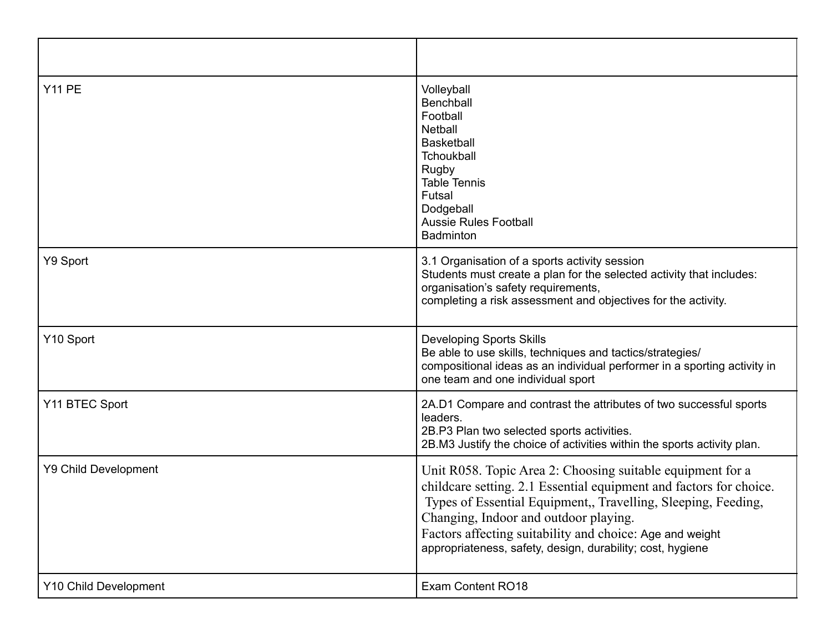| <b>Y11 PE</b>               | Volleyball<br>Benchball<br>Football<br><b>Netball</b><br><b>Basketball</b><br>Tchoukball<br>Rugby<br><b>Table Tennis</b><br>Futsal<br>Dodgeball<br><b>Aussie Rules Football</b><br>Badminton                                                                                                                                                                         |
|-----------------------------|----------------------------------------------------------------------------------------------------------------------------------------------------------------------------------------------------------------------------------------------------------------------------------------------------------------------------------------------------------------------|
| Y9 Sport                    | 3.1 Organisation of a sports activity session<br>Students must create a plan for the selected activity that includes:<br>organisation's safety requirements,<br>completing a risk assessment and objectives for the activity.                                                                                                                                        |
| Y10 Sport                   | <b>Developing Sports Skills</b><br>Be able to use skills, techniques and tactics/strategies/<br>compositional ideas as an individual performer in a sporting activity in<br>one team and one individual sport                                                                                                                                                        |
| Y11 BTEC Sport              | 2A.D1 Compare and contrast the attributes of two successful sports<br>leaders.<br>2B.P3 Plan two selected sports activities.<br>2B.M3 Justify the choice of activities within the sports activity plan.                                                                                                                                                              |
| <b>Y9 Child Development</b> | Unit R058. Topic Area 2: Choosing suitable equipment for a<br>childcare setting. 2.1 Essential equipment and factors for choice.<br>Types of Essential Equipment,, Travelling, Sleeping, Feeding,<br>Changing, Indoor and outdoor playing.<br>Factors affecting suitability and choice: Age and weight<br>appropriateness, safety, design, durability; cost, hygiene |
| Y10 Child Development       | <b>Exam Content RO18</b>                                                                                                                                                                                                                                                                                                                                             |